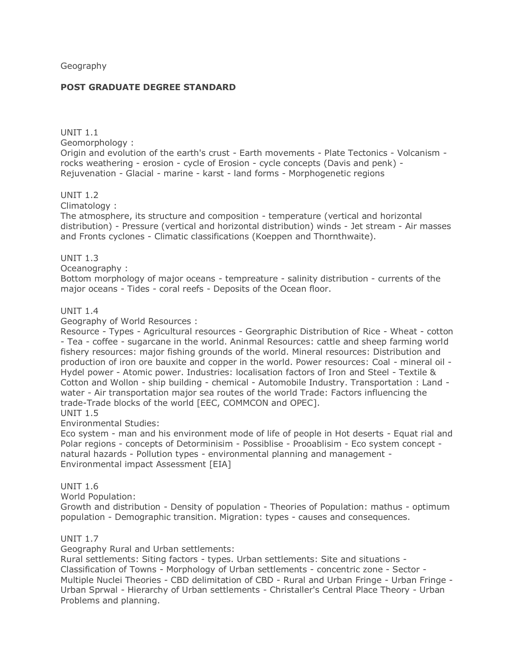Geography

#### **POST GRADUATE DEGREE STANDARD**

UNIT 1.1 Geomorphology :

Origin and evolution of the earth's crust - Earth movements - Plate Tectonics - Volcanism rocks weathering - erosion - cycle of Erosion - cycle concepts (Davis and penk) - Rejuvenation - Glacial - marine - karst - land forms - Morphogenetic regions

UNIT 1.2

Climatology :

The atmosphere, its structure and composition - temperature (vertical and horizontal distribution) - Pressure (vertical and horizontal distribution) winds - Jet stream - Air masses and Fronts cyclones - Climatic classifications (Koeppen and Thornthwaite).

UNIT 1.3

Oceanography :

Bottom morphology of major oceans - tempreature - salinity distribution - currents of the major oceans - Tides - coral reefs - Deposits of the Ocean floor.

#### UNIT 1.4

Geography of World Resources :

Resource - Types - Agricultural resources - Georgraphic Distribution of Rice - Wheat - cotton - Tea - coffee - sugarcane in the world. Aninmal Resources: cattle and sheep farming world fishery resources: major fishing grounds of the world. Mineral resources: Distribution and production of iron ore bauxite and copper in the world. Power resources: Coal - mineral oil - Hydel power - Atomic power. Industries: localisation factors of Iron and Steel - Textile & Cotton and Wollon - ship building - chemical - Automobile Industry. Transportation : Land water - Air transportation major sea routes of the world Trade: Factors influencing the trade-Trade blocks of the world [EEC, COMMCON and OPEC].

## UNIT 1.5

Environmental Studies:

Eco system - man and his environment mode of life of people in Hot deserts - Equat rial and Polar regions - concepts of Detorminisim - Possiblise - Prooablisim - Eco system concept natural hazards - Pollution types - environmental planning and management - Environmental impact Assessment [EIA]

## UNIT 1.6

World Population:

Growth and distribution - Density of population - Theories of Population: mathus - optimum population - Demographic transition. Migration: types - causes and consequences.

## UNIT 1.7

Geography Rural and Urban settlements:

Rural settlements: Siting factors - types. Urban settlements: Site and situations - Classification of Towns - Morphology of Urban settlements - concentric zone - Sector - Multiple Nuclei Theories - CBD delimitation of CBD - Rural and Urban Fringe - Urban Fringe - Urban Sprwal - Hierarchy of Urban settlements - Christaller's Central Place Theory - Urban Problems and planning.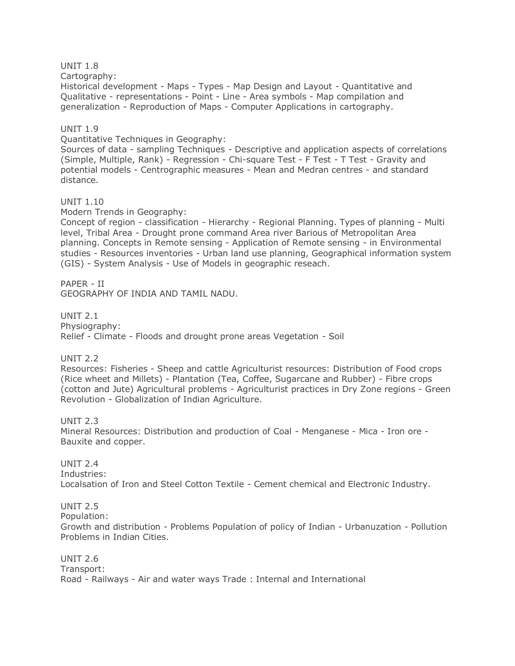## UNIT 1.8

Cartography:

Historical development - Maps - Types - Map Design and Layout - Quantitative and Qualitative - representations - Point - Line - Area symbols - Map compilation and generalization - Reproduction of Maps - Computer Applications in cartography.

#### UNIT 1.9

Quantitative Techniques in Geography:

Sources of data - sampling Techniques - Descriptive and application aspects of correlations (Simple, Multiple, Rank) - Regression - Chi-square Test - F Test - T Test - Gravity and potential models - Centrographic measures - Mean and Medran centres - and standard distance.

#### UNIT 1.10

Modern Trends in Geography:

Concept of region - classification - Hierarchy - Regional Planning. Types of planning - Multi level, Tribal Area - Drought prone command Area river Barious of Metropolitan Area planning. Concepts in Remote sensing - Application of Remote sensing - in Environmental studies - Resources inventories - Urban land use planning, Geographical information system (GIS) - System Analysis - Use of Models in geographic reseach.

PAPER - II GEOGRAPHY OF INDIA AND TAMIL NADU.

UNIT 2.1 Physiography: Relief - Climate - Floods and drought prone areas Vegetation - Soil

UNIT 2.2

Resources: Fisheries - Sheep and cattle Agriculturist resources: Distribution of Food crops (Rice wheet and Millets) - Plantation (Tea, Coffee, Sugarcane and Rubber) - Fibre crops (cotton and Jute) Agricultural problems - Agriculturist practices in Dry Zone regions - Green Revolution - Globalization of Indian Agriculture.

UNIT 2.3

Mineral Resources: Distribution and production of Coal - Menganese - Mica - Iron ore - Bauxite and copper.

UNIT 2.4 Industries: Localsation of Iron and Steel Cotton Textile - Cement chemical and Electronic Industry.

UNIT 2.5 Population: Growth and distribution - Problems Population of policy of Indian - Urbanuzation - Pollution Problems in Indian Cities.

UNIT 2.6 Transport: Road - Railways - Air and water ways Trade : Internal and International